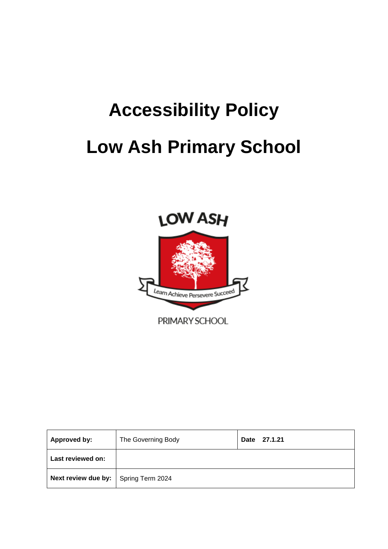# **Accessibility Policy Low Ash Primary School**



| <b>Approved by:</b>                           | The Governing Body | 27.1.21<br>Date |
|-----------------------------------------------|--------------------|-----------------|
| Last reviewed on:                             |                    |                 |
| <b>Next review due by:</b>   Spring Term 2024 |                    |                 |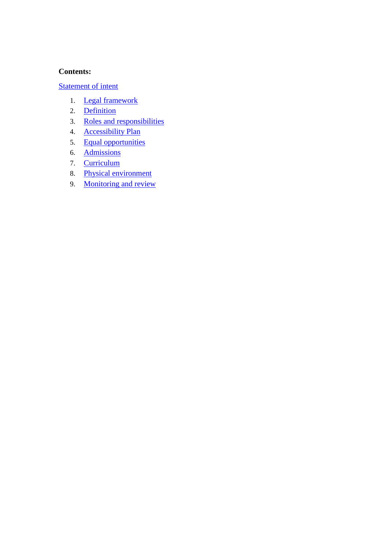#### **Contents:**

#### [Statement of intent](file:///C:/Users/Sharon.Giedrojt/AppData/Local/Microsoft/Windows/INetCache/Content.Outlook/MP6W85CN/Accessibility%20Policy%20Jan%202021.doc%23_Statement_of_intent_1)

- 1. [Legal framework](file:///C:/Users/Sharon.Giedrojt/AppData/Local/Microsoft/Windows/INetCache/Content.Outlook/MP6W85CN/Accessibility%20Policy%20Jan%202021.doc%23_Peafowl_and_the)
- 2. [Definition](file:///C:/Users/Sharon.Giedrojt/AppData/Local/Microsoft/Windows/INetCache/Content.Outlook/MP6W85CN/Accessibility%20Policy%20Jan%202021.doc%23_Definition)
- 3. [Roles and responsibilities](file:///C:/Users/Sharon.Giedrojt/AppData/Local/Microsoft/Windows/INetCache/Content.Outlook/MP6W85CN/Accessibility%20Policy%20Jan%202021.doc%23_Roles_and_responsibilities)
- 4. [Accessibility Plan](file:///C:/Users/Sharon.Giedrojt/AppData/Local/Microsoft/Windows/INetCache/Content.Outlook/MP6W85CN/Accessibility%20Policy%20Jan%202021.doc%23_Accessibility_Plan)
- 5. [Equal opportunities](file:///C:/Users/Sharon.Giedrojt/AppData/Local/Microsoft/Windows/INetCache/Content.Outlook/MP6W85CN/Accessibility%20Policy%20Jan%202021.doc%23_Equal_opportunities)
- 6. [Admissions](file:///C:/Users/Sharon.Giedrojt/AppData/Local/Microsoft/Windows/INetCache/Content.Outlook/MP6W85CN/Accessibility%20Policy%20Jan%202021.doc%23_Admissions)
- 7. [Curriculum](file:///C:/Users/Sharon.Giedrojt/AppData/Local/Microsoft/Windows/INetCache/Content.Outlook/MP6W85CN/Accessibility%20Policy%20Jan%202021.doc%23_Curriculum)
- 8. [Physical environment](file:///C:/Users/Sharon.Giedrojt/AppData/Local/Microsoft/Windows/INetCache/Content.Outlook/MP6W85CN/Accessibility%20Policy%20Jan%202021.doc%23_Physical_environment)
- 9. [Monitoring and review](file:///C:/Users/Sharon.Giedrojt/AppData/Local/Microsoft/Windows/INetCache/Content.Outlook/MP6W85CN/Accessibility%20Policy%20Jan%202021.doc%23_Monitoring_and_review)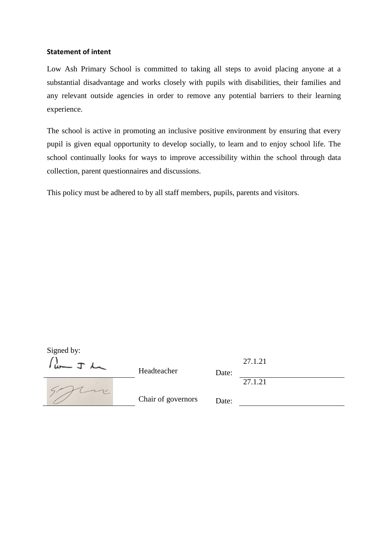#### **Statement of intent**

Low Ash Primary School is committed to taking all steps to avoid placing anyone at a substantial disadvantage and works closely with pupils with disabilities, their families and any relevant outside agencies in order to remove any potential barriers to their learning experience.

The school is active in promoting an inclusive positive environment by ensuring that every pupil is given equal opportunity to develop socially, to learn and to enjoy school life. The school continually looks for ways to improve accessibility within the school through data collection, parent questionnaires and discussions.

This policy must be adhered to by all staff members, pupils, parents and visitors.

| Signed by: | Headteacher        | Date: | 27.1.21 |
|------------|--------------------|-------|---------|
|            | Chair of governors | Date: | 27.1.21 |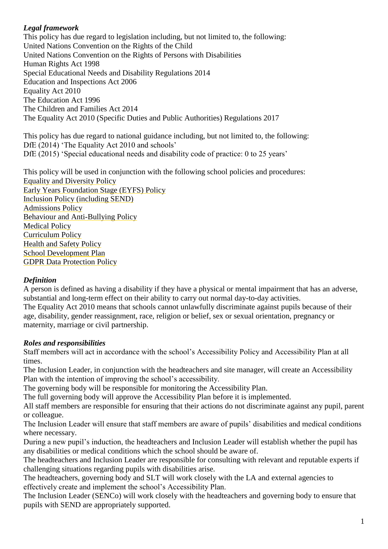#### *Legal framework*

This policy has due regard to legislation including, but not limited to, the following: United Nations Convention on the Rights of the Child United Nations Convention on the Rights of Persons with Disabilities Human Rights Act 1998 Special Educational Needs and Disability Regulations 2014 Education and Inspections Act 2006 Equality Act 2010 The Education Act 1996 The Children and Families Act 2014 The Equality Act 2010 (Specific Duties and Public Authorities) Regulations 2017

This policy has due regard to national guidance including, but not limited to, the following: DfE (2014) 'The Equality Act 2010 and schools' DfE (2015) 'Special educational needs and disability code of practice: 0 to 25 years'

This policy will be used in conjunction with the following school policies and procedures: Equality and Diversity Policy Early Years Foundation Stage (EYFS) Policy Inclusion Policy (including SEND) Admissions Policy Behaviour and Anti-Bullying Policy Medical Policy Curriculum Policy Health and Safety Policy School Development Plan GDPR Data Protection Policy

#### *Definition*

A person is defined as having a disability if they have a physical or mental impairment that has an adverse, substantial and long-term effect on their ability to carry out normal day-to-day activities. The Equality Act 2010 means that schools cannot unlawfully discriminate against pupils because of their age, disability, gender reassignment, race, religion or belief, sex or sexual orientation, pregnancy or maternity, marriage or civil partnership.

#### *Roles and responsibilities*

Staff members will act in accordance with the school's Accessibility Policy and Accessibility Plan at all times.

The Inclusion Leader, in conjunction with the headteachers and site manager, will create an Accessibility Plan with the intention of improving the school's accessibility.

The governing body will be responsible for monitoring the Accessibility Plan.

The full governing body will approve the Accessibility Plan before it is implemented.

All staff members are responsible for ensuring that their actions do not discriminate against any pupil, parent or colleague.

The Inclusion Leader will ensure that staff members are aware of pupils' disabilities and medical conditions where necessary.

During a new pupil's induction, the headteachers and Inclusion Leader will establish whether the pupil has any disabilities or medical conditions which the school should be aware of.

The headteachers and Inclusion Leader are responsible for consulting with relevant and reputable experts if challenging situations regarding pupils with disabilities arise.

The headteachers, governing body and SLT will work closely with the LA and external agencies to effectively create and implement the school's Accessibility Plan.

The Inclusion Leader (SENCo) will work closely with the headteachers and governing body to ensure that pupils with SEND are appropriately supported.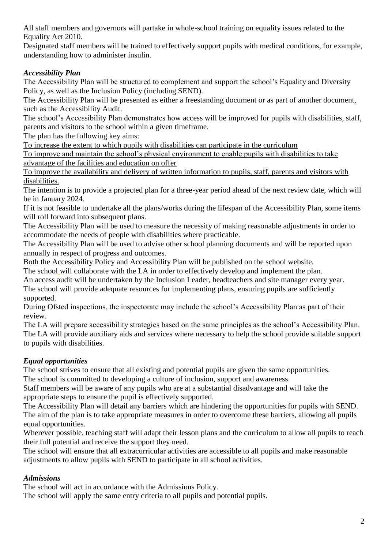All staff members and governors will partake in whole-school training on equality issues related to the Equality Act 2010.

Designated staff members will be trained to effectively support pupils with medical conditions, for example, understanding how to administer insulin.

# *Accessibility Plan*

The Accessibility Plan will be structured to complement and support the school's Equality and Diversity Policy, as well as the Inclusion Policy (including SEND).

The Accessibility Plan will be presented as either a freestanding document or as part of another document, such as the Accessibility Audit.

The school's Accessibility Plan demonstrates how access will be improved for pupils with disabilities, staff, parents and visitors to the school within a given timeframe.

The plan has the following key aims:

To increase the extent to which pupils with disabilities can participate in the curriculum

To improve and maintain the school's physical environment to enable pupils with disabilities to take advantage of the facilities and education on offer

To improve the availability and delivery of written information to pupils, staff, parents and visitors with disabilities.

The intention is to provide a projected plan for a three-year period ahead of the next review date, which will be in January 2024.

If it is not feasible to undertake all the plans/works during the lifespan of the Accessibility Plan, some items will roll forward into subsequent plans.

The Accessibility Plan will be used to measure the necessity of making reasonable adjustments in order to accommodate the needs of people with disabilities where practicable.

The Accessibility Plan will be used to advise other school planning documents and will be reported upon annually in respect of progress and outcomes.

Both the Accessibility Policy and Accessibility Plan will be published on the school website.

The school will collaborate with the LA in order to effectively develop and implement the plan.

An access audit will be undertaken by the Inclusion Leader, headteachers and site manager every year.

The school will provide adequate resources for implementing plans, ensuring pupils are sufficiently supported.

During Ofsted inspections, the inspectorate may include the school's Accessibility Plan as part of their review.

The LA will prepare accessibility strategies based on the same principles as the school's Accessibility Plan. The LA will provide auxiliary aids and services where necessary to help the school provide suitable support to pupils with disabilities.

# *Equal opportunities*

The school strives to ensure that all existing and potential pupils are given the same opportunities. The school is committed to developing a culture of inclusion, support and awareness.

Staff members will be aware of any pupils who are at a substantial disadvantage and will take the appropriate steps to ensure the pupil is effectively supported.

The Accessibility Plan will detail any barriers which are hindering the opportunities for pupils with SEND. The aim of the plan is to take appropriate measures in order to overcome these barriers, allowing all pupils equal opportunities.

Wherever possible, teaching staff will adapt their lesson plans and the curriculum to allow all pupils to reach their full potential and receive the support they need.

The school will ensure that all extracurricular activities are accessible to all pupils and make reasonable adjustments to allow pupils with SEND to participate in all school activities.

# *Admissions*

The school will act in accordance with the Admissions Policy.

The school will apply the same entry criteria to all pupils and potential pupils.